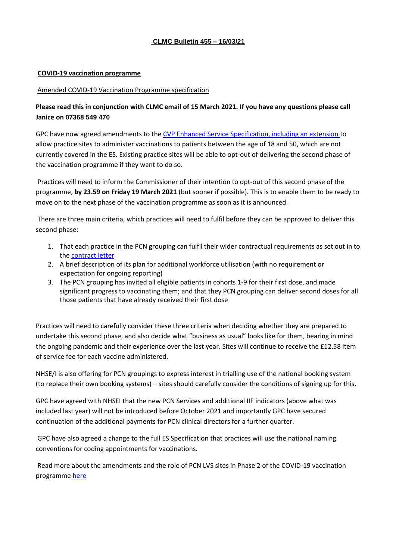## **CLMC Bulletin 455 – 16/03/21**

#### **COVID-19 vaccination programme**

#### Amended COVID-19 Vaccination Programme specification

# **Please read this in conjunction with CLMC email of 15 March 2021. If you have any questions please call Janice on 07368 549 470**

GPC have now agreed amendments to the [CVP Enhanced Service Specification, including an extension t](https://www.england.nhs.uk/coronavirus/publication/ess-vaccination-programme/)o allow practice sites to administer vaccinations to patients between the age of 18 and 50, which are not currently covered in the ES. Existing practice sites will be able to opt-out of delivering the second phase of the vaccination programme if they want to do so.

Practices will need to inform the Commissioner of their intention to opt-out of this second phase of the programme, **by 23.59 on Friday 19 March 2021** (but sooner if possible)*.* This is to enable them to be ready to move on to the next phase of the vaccination programme as soon as it is announced.

There are three main criteria, which practices will need to fulfil before they can be approved to deliver this second phase:

- 1. That each practice in the PCN grouping can fulfil their wider contractual requirements as set out in to the [contract letter](https://www.england.nhs.uk/wp-content/uploads/2021/01/C1054-supporting-general-practice-in-21-22.pdf)
- 2. A brief description of its plan for additional workforce utilisation (with no requirement or expectation for ongoing reporting)
- 3. The PCN grouping has invited all eligible patients in cohorts 1-9 for their first dose, and made significant progress to vaccinating them; and that they PCN grouping can deliver second doses for all those patients that have already received their first dose

Practices will need to carefully consider these three criteria when deciding whether they are prepared to undertake this second phase, and also decide what "business as usual" looks like for them, bearing in mind the ongoing pandemic and their experience over the last year. Sites will continue to receive the £12.58 item of service fee for each vaccine administered.

NHSE/I is also offering for PCN groupings to express interest in trialling use of the national booking system (to replace their own booking systems) – sites should carefully consider the conditions of signing up for this.

GPC have agreed with NHSEI that the new PCN Services and additional IIF indicators (above what was included last year) will not be introduced before October 2021 and importantly GPC have secured continuation of the additional payments for PCN clinical directors for a further quarter.

GPC have also agreed a change to the full ES Specification that practices will use the national naming conventions for coding appointments for vaccinations.

Read more about the amendments and the role of PCN LVS sites in Phase 2 of the COVID-19 vaccination programme [here](https://www.england.nhs.uk/coronavirus/publication/role-of-pcn-lvs-sites-in-phase-2-of-the-covid-19-vaccination-programme/)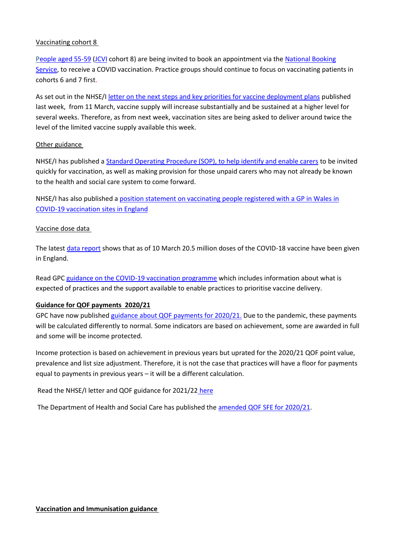## Vaccinating cohort 8

[People aged 55-59](https://www.england.nhs.uk/2021/03/nhs-text-alerts-for-life-saving-covid-jab/) [\(JCVI](https://www.gov.uk/government/publications/priority-groups-for-coronavirus-covid-19-vaccination-advice-from-the-jcvi-30-december-2020) cohort 8) are being invited to book an appointment via th[e National Booking](https://www.nhs.uk/conditions/coronavirus-covid-19/coronavirus-vaccination/book-coronavirus-vaccination/)  [Service,](https://www.nhs.uk/conditions/coronavirus-covid-19/coronavirus-vaccination/book-coronavirus-vaccination/) to receive a COVID vaccination. Practice groups should continue to focus on vaccinating patients in cohorts 6 and 7 first.

As set out in the NHSE/I [letter on the next steps and key priorities for vaccine deployment plans](https://bma-mail.org.uk/t/JVX-79R2X-JCJOU4-4DA7L2-1/c.aspx) published last week, from 11 March, vaccine supply will increase substantially and be sustained at a higher level for several weeks. Therefore, as from next week, vaccination sites are being asked to deliver around twice the level of the limited vaccine supply available this week.

## Other guidance

NHSE/I has published [a Standard Operating Procedure \(SOP\), to help identify and enable carers](https://www.england.nhs.uk/coronavirus/publication/sop-covid-19-vaccine-deployment-programme-unpaid-carers-jcvi-priority-cohort-6/) to be invited quickly for vaccination, as well as making provision for those unpaid carers who may not already be known to the health and social care system to come forward.

NHSE/I has also published a [position statement on vaccinating people registered with a GP in Wales in](https://www.england.nhs.uk/coronavirus/publication/position-statement-vaccinating-people-registered-with-a-gp-in-wales-in-covid-19-vaccination-sites-in-england/)  [COVID-19 vaccination sites in England](https://www.england.nhs.uk/coronavirus/publication/position-statement-vaccinating-people-registered-with-a-gp-in-wales-in-covid-19-vaccination-sites-in-england/)

## Vaccine dose data

The latest [data report](https://www.england.nhs.uk/statistics/statistical-work-areas/covid-19-vaccinations/) shows that as of 10 March 20.5 million doses of the COVID-18 vaccine have been given in England.

Read GPC [guidance on the COVID-19 vaccination programme](https://www.bma.org.uk/advice-and-support/covid-19/gp-practices/covid-19-vaccination-programme) which includes information about what is expected of practices and the support available to enable practices to prioritise vaccine delivery.

#### **Guidance for QOF payments 2020/21**

GPC have now published [guidance about QOF payments for 2020/21.](https://www.bma.org.uk/advice-and-support/covid-19/gp-practices/covid-19-toolkit-for-gps-and-gp-practices/qof-quality-and-outcomes-framework) Due to the pandemic, these payments will be calculated differently to normal. Some indicators are based on achievement, some are awarded in full and some will be income protected.

Income protection is based on achievement in previous years but uprated for the 2020/21 QOF point value, prevalence and list size adjustment. Therefore, it is not the case that practices will have a floor for payments equal to payments in previous years – it will be a different calculation.

Read the NHSE/I letter and QOF guidance for 2021/22 [here](https://www.england.nhs.uk/publication/update-on-quality-outcomes-framework-changes-for-2021-22/)

The Department of Health and Social Care has published the [amended QOF SFE for 2020/21.](https://assets.publishing.service.gov.uk/government/uploads/system/uploads/attachment_data/file/966790/the-general-medical-services-statement-of-financial-entitlements-amendment-directions-2021-03Mar21.pdf)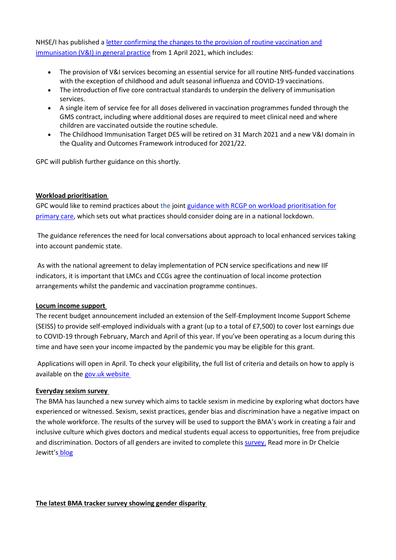NHSE/I has published [a letter confirming the changes to the provision of routine vaccination and](https://www.england.nhs.uk/publication/update-on-vaccination-and-immunisation-changes-for-2021-22/)  [immunisation \(V&I\) in general practice](https://www.england.nhs.uk/publication/update-on-vaccination-and-immunisation-changes-for-2021-22/) from 1 April 2021, which includes:

- The provision of V&I services becoming an essential service for all routine NHS-funded vaccinations with the exception of childhood and adult seasonal influenza and COVID-19 vaccinations.
- The introduction of five core contractual standards to underpin the delivery of immunisation services.
- A single item of service fee for all doses delivered in vaccination programmes funded through the GMS contract, including where additional doses are required to meet clinical need and where children are vaccinated outside the routine schedule.
- The Childhood Immunisation Target DES will be retired on 31 March 2021 and a new V&I domain in the Quality and Outcomes Framework introduced for 2021/22.

GPC will publish further guidance on this shortly.

## **Workload prioritisation**

GPC would like to remind practices about the join[t guidance with RCGP on workload prioritisation for](https://www.bma.org.uk/media/3654/bma-rcgp-covid-workload-prioritisation-nov-2020.pdf?la=en#workload)  [primary care,](https://www.bma.org.uk/media/3654/bma-rcgp-covid-workload-prioritisation-nov-2020.pdf?la=en#workload) which sets out what practices should consider doing are in a national lockdown.

The guidance references the need for local conversations about approach to local enhanced services taking into account pandemic state.

As with the national agreement to delay implementation of PCN service specifications and new IIF indicators, it is important that LMCs and CCGs agree the continuation of local income protection arrangements whilst the pandemic and vaccination programme continues.

#### **Locum income support**

The recent budget announcement included an extension of the Self-Employment Income Support Scheme (SEISS) to provide self-employed individuals with a grant (up to a total of £7,500) to cover lost earnings due to COVID-19 through February, March and April of this year. If you've been operating as a locum during this time and have seen your income impacted by the pandemic you may be eligible for this grant.

Applications will open in April. To check your eligibility, the full list of criteria and details on how to apply is available on the [gov.uk website](https://www.gov.uk/government/publications/self-employment-income-support-scheme-grant-extension/self-employment-income-support-scheme-grant-extension)

#### **Everyday sexism survey**

The BMA has launched a new survey which aims to tackle sexism in medicine by exploring what doctors have experienced or witnessed. Sexism, sexist practices, gender bias and discrimination have a negative impact on the whole workforce. The results of the survey will be used to support the BMA's work in creating a fair and inclusive culture which gives doctors and medical students equal access to opportunities, free from prejudice and discrimination. Doctors of all genders are invited to complete this [survey.](https://www.surveymonkey.co.uk/r/BMA_Everyday_Sexism) Read more in Dr Chelcie Jewitt's [blog](https://www.bma.org.uk/news-and-opinion/i-still-experience-sexism-at-work-how-about-you)

**The latest BMA tracker survey showing gender disparity**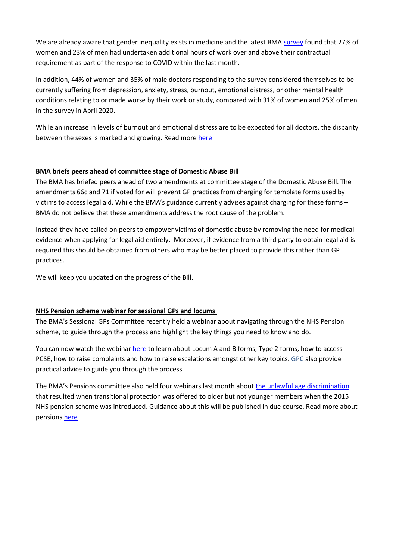We are already aware that gender inequality exists in medicine and the latest BMA [survey](https://www.bma.org.uk/media/3810/bma-covid-tracker-survey-february-2021.pdf) found that 27% of women and 23% of men had undertaken additional hours of work over and above their contractual requirement as part of the response to COVID within the last month.

In addition, 44% of women and 35% of male doctors responding to the survey considered themselves to be currently suffering from depression, anxiety, stress, burnout, emotional distress, or other mental health conditions relating to or made worse by their work or study, compared with 31% of women and 25% of men in the survey in April 2020.

While an increase in levels of burnout and emotional distress are to be expected for all doctors, the disparity between the sexes is marked and growing. Read more [here](https://www.bma.org.uk/bma-media-centre/female-doctors-felt-compelled-to-step-up-during-covid-19-and-are-suffering-as-a-result-bma-research-finds)

## **BMA briefs peers ahead of committee stage of Domestic Abuse Bill**

The BMA has briefed peers ahead of two amendments at committee stage of the Domestic Abuse Bill. The amendments 66c and 71 if voted for will prevent GP practices from charging for template forms used by victims to access legal aid. While the BMA's guidance currently advises against charging for these forms – BMA do not believe that these amendments address the root cause of the problem.

Instead they have called on peers to empower victims of domestic abuse by removing the need for medical evidence when applying for legal aid entirely. Moreover, if evidence from a third party to obtain legal aid is required this should be obtained from others who may be better placed to provide this rather than GP practices.

We will keep you updated on the progress of the Bill.

# **NHS Pension scheme webinar for sessional GPs and locums**

The BMA's Sessional GPs Committee recently held a webinar about navigating through the NHS Pension scheme, to guide through the process and highlight the key things you need to know and do.

You can now watch the webina[r here](https://youtu.be/bHskfgqVQQM) to learn about Locum A and B forms, Type 2 forms, how to access PCSE, how to raise complaints and how to raise escalations amongst other key topics. GPC also provide practical advice to guide you through the process.

The BMA's Pensions committee also held four webinars last month about [the unlawful age discrimination](https://www.bma.org.uk/news-and-opinion/government-backs-bma-proposal-to-fix-unlawful-age-discrimination) that resulted when transitional protection was offered to older but not younger members when the 2015 NHS pension scheme was introduced. Guidance about this will be published in due course. Read more about pensions [here](https://www.bma.org.uk/pay-and-contracts/pensions)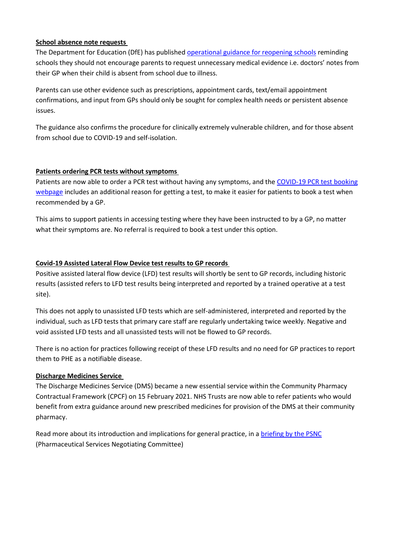## **School absence note requests**

The Department for Education (DfE) has published [operational guidance for reopening schools](https://assets.publishing.service.gov.uk/government/uploads/system/uploads/attachment_data/file/967139/Schools_coronavirus_operational_guidance.pdf) reminding schools they should not encourage parents to request unnecessary medical evidence i.e. doctors' notes from their GP when their child is absent from school due to illness.

Parents can use other evidence such as prescriptions, appointment cards, text/email appointment confirmations, and input from GPs should only be sought for complex health needs or persistent absence issues.

The guidance also confirms the procedure for clinically extremely vulnerable children, and for those absent from school due to COVID-19 and self-isolation.

## **Patients ordering PCR tests without symptoms**

Patients are now able to order a PCR test without having any symptoms, and the [COVID-19 PCR test booking](https://www.gov.uk/get-coronavirus-test)  [webpage](https://www.gov.uk/get-coronavirus-test) includes an additional reason for getting a test, to make it easier for patients to book a test when recommended by a GP.

This aims to support patients in accessing testing where they have been instructed to by a GP, no matter what their symptoms are. No referral is required to book a test under this option.

## **Covid-19 Assisted Lateral Flow Device test results to GP records**

Positive assisted lateral flow device (LFD) test results will shortly be sent to GP records, including historic results (assisted refers to LFD test results being interpreted and reported by a trained operative at a test site).

This does not apply to unassisted LFD tests which are self-administered, interpreted and reported by the individual, such as LFD tests that primary care staff are regularly undertaking twice weekly. Negative and void assisted LFD tests and all unassisted tests will not be flowed to GP records.

There is no action for practices following receipt of these LFD results and no need for GP practices to report them to PHE as a notifiable disease.

#### **Discharge Medicines Service**

The Discharge Medicines Service (DMS) became a new essential service within the Community Pharmacy Contractual Framework (CPCF) on 15 February 2021. NHS Trusts are now able to refer patients who would benefit from extra guidance around new prescribed medicines for provision of the DMS at their community pharmacy.

Read more about its introduction and implications for general practice, in a [briefing by the PSNC](https://psnc.org.uk/services-commissioning/essential-services/discharge-medicines-service/) (Pharmaceutical Services Negotiating Committee)